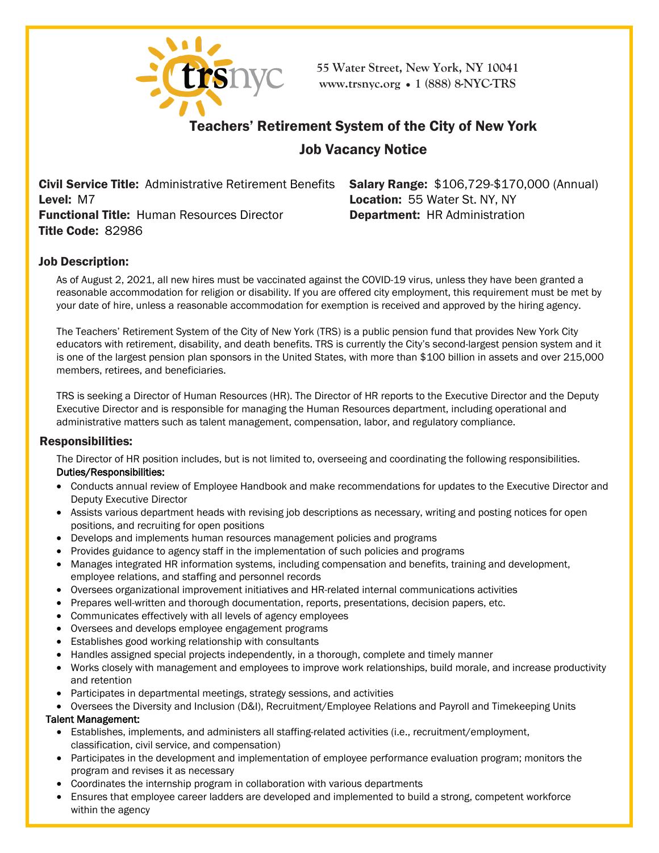

**55 Water Street, New York, NY 10041 [www.trsnyc](http://www.trsnyc.org/).org • 1 (888) 8-NYC-TRS**

# Teachers' Retirement System of the City of New York

# Job Vacancy Notice

Civil Service Title: Administrative Retirement Benefits Level: M7 Functional Title: Human Resources Director Title Code: 82986

Salary Range: \$106,729-\$170,000 (Annual) Location: 55 Water St. NY, NY Department: HR Administration

## Job Description:

As of August 2, 2021, all new hires must be vaccinated against the COVID-19 virus, unless they have been granted a reasonable accommodation for religion or disability. If you are offered city employment, this requirement must be met by your date of hire, unless a reasonable accommodation for exemption is received and approved by the hiring agency.

The Teachers' Retirement System of the City of New York (TRS) is a public pension fund that provides New York City educators with retirement, disability, and death benefits. TRS is currently the City's second-largest pension system and it is one of the largest pension plan sponsors in the United States, with more than \$100 billion in assets and over 215,000 members, retirees, and beneficiaries.

TRS is seeking a Director of Human Resources (HR). The Director of HR reports to the Executive Director and the Deputy Executive Director and is responsible for managing the Human Resources department, including operational and administrative matters such as talent management, compensation, labor, and regulatory compliance.

## Responsibilities:

The Director of HR position includes, but is not limited to, overseeing and coordinating the following responsibilities. Duties/Responsibilities:

- Conducts annual review of Employee Handbook and make recommendations for updates to the Executive Director and Deputy Executive Director
- Assists various department heads with revising job descriptions as necessary, writing and posting notices for open positions, and recruiting for open positions
- Develops and implements human resources management policies and programs
- Provides guidance to agency staff in the implementation of such policies and programs
- Manages integrated HR information systems, including compensation and benefits, training and development, employee relations, and staffing and personnel records
- Oversees organizational improvement initiatives and HR-related internal communications activities
- Prepares well-written and thorough documentation, reports, presentations, decision papers, etc.
- Communicates effectively with all levels of agency employees
- Oversees and develops employee engagement programs
- Establishes good working relationship with consultants
- Handles assigned special projects independently, in a thorough, complete and timely manner
- Works closely with management and employees to improve work relationships, build morale, and increase productivity and retention
- Participates in departmental meetings, strategy sessions, and activities
- Oversees the Diversity and Inclusion (D&I), Recruitment/Employee Relations and Payroll and Timekeeping Units

#### Talent Management:

- Establishes, implements, and administers all staffing-related activities (i.e., recruitment/employment, classification, civil service, and compensation)
- Participates in the development and implementation of employee performance evaluation program; monitors the program and revises it as necessary
- Coordinates the internship program in collaboration with various departments
- Ensures that employee career ladders are developed and implemented to build a strong, competent workforce within the agency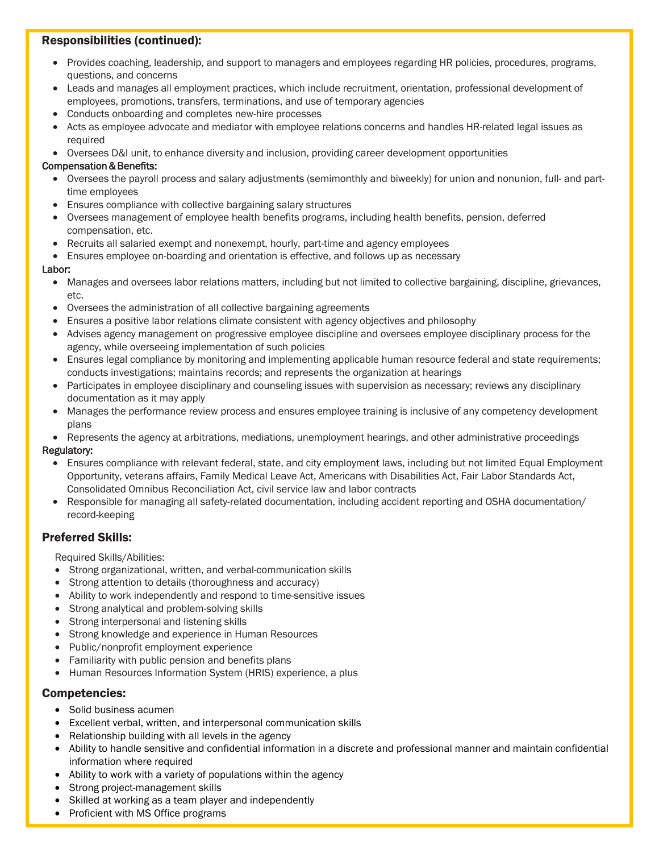# Responsibilities (continued):

- Provides coaching, leadership, and support to managers and employees regarding HR policies, procedures, programs, questions, and concerns
- Leads and manages all employment practices, which include recruitment, orientation, professional development of employees, promotions, transfers, terminations, and use of temporary agencies
- Conducts onboarding and completes new-hire processes
- Acts as employee advocate and mediator with employee relations concerns and handles HR-related legal issues as required
- Oversees D&I unit, to enhance diversity and inclusion, providing career development opportunities

#### Compensation & Benefits:

- Oversees the payroll process and salary adjustments (semimonthly and biweekly) for union and nonunion, full- and parttime employees
- Ensures compliance with collective bargaining salary structures
- Oversees management of employee health benefits programs, including health benefits, pension, deferred compensation, etc.
- Recruits all salaried exempt and nonexempt, hourly, part-time and agency employees
- Ensures employee on-boarding and orientation is effective, and follows up as necessary

#### Labor:

- Manages and oversees labor relations matters, including but not limited to collective bargaining, discipline, grievances, etc.
- Oversees the administration of all collective bargaining agreements
- Ensures a positive labor relations climate consistent with agency objectives and philosophy
- Advises agency management on progressive employee discipline and oversees employee disciplinary process for the agency, while overseeing implementation of such policies
- Ensures legal compliance by monitoring and implementing applicable human resource federal and state requirements; conducts investigations; maintains records; and represents the organization at hearings
- Participates in employee disciplinary and counseling issues with supervision as necessary; reviews any disciplinary documentation as it may apply
- Manages the performance review process and ensures employee training is inclusive of any competency development plans
- Represents the agency at arbitrations, mediations, unemployment hearings, and other administrative proceedings

#### Regulatory:

- Ensures compliance with relevant federal, state, and city employment laws, including but not limited Equal Employment Opportunity, veterans affairs, Family Medical Leave Act, Americans with Disabilities Act, Fair Labor Standards Act, Consolidated Omnibus Reconciliation Act, civil service law and labor contracts
- Responsible for managing all safety-related documentation, including accident reporting and OSHA documentation/ record-keeping

## Preferred Skills:

Required Skills/Abilities:

- Strong organizational, written, and verbal-communication skills
- Strong attention to details (thoroughness and accuracy)
- Ability to work independently and respond to time-sensitive issues
- Strong analytical and problem-solving skills
- Strong interpersonal and listening skills
- Strong knowledge and experience in Human Resources
- Public/nonprofit employment experience
- Familiarity with public pension and benefits plans
- Human Resources Information System (HRIS) experience, a plus

#### Competencies:

- Solid business acumen
- Excellent verbal, written, and interpersonal communication skills
- Relationship building with all levels in the agency
- Ability to handle sensitive and confidential information in a discrete and professional manner and maintain confidential information where required
- Ability to work with a variety of populations within the agency
- Strong project-management skills
- Skilled at working as a team player and independently
- Proficient with MS Office programs